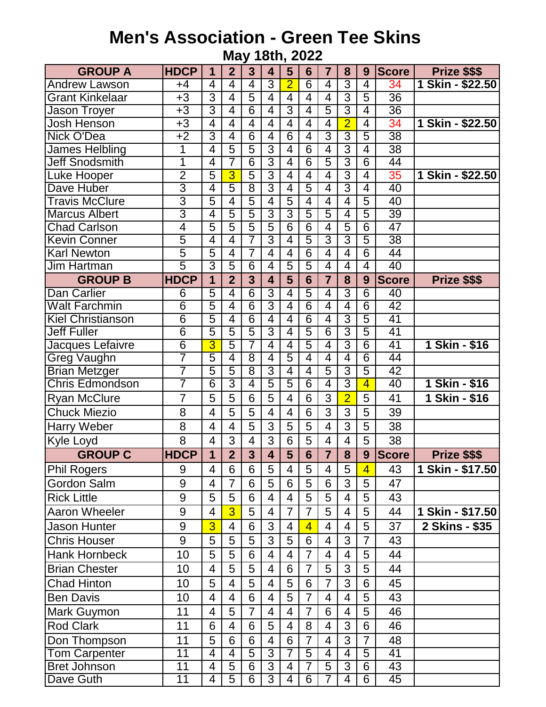## **Men's Association - Green Tee Skins May 18th, 2022**

| <b>GROUP A</b>           | <b>HDCP</b>             | 1              | $\overline{2}$ | 3              | $\overline{\mathbf{4}}$ | 5              | 6               | $\overline{7}$ | 8                        | 9              | <b>Score</b>    | Prize \$\$\$     |
|--------------------------|-------------------------|----------------|----------------|----------------|-------------------------|----------------|-----------------|----------------|--------------------------|----------------|-----------------|------------------|
| <b>Andrew Lawson</b>     | $+4$                    | 4              | 4              | 4              | $\overline{3}$          | $\overline{2}$ | 6               | 4              | $\overline{3}$           | 4              | 34              | 1 Skin - \$22.50 |
| <b>Grant Kinkelaar</b>   | $+3$                    | $\overline{3}$ | $\overline{4}$ | $\overline{5}$ | $\overline{4}$          | $\overline{4}$ | $\overline{4}$  | 4              | $\overline{3}$           | 5              | $\overline{36}$ |                  |
| Jason Troyer             | $+3$                    | $\overline{3}$ | 4              | $\overline{6}$ | 4                       | $\overline{3}$ | 4               | $\overline{5}$ | $\overline{3}$           | $\overline{4}$ | 36              |                  |
| Josh Henson              | $+3$                    | $\overline{4}$ | $\overline{4}$ | $\overline{4}$ | $\overline{4}$          | 4              | 4               | $\overline{4}$ | $\overline{2}$           | $\overline{4}$ | 34              | 1 Skin - \$22.50 |
| <b>Nick O'Dea</b>        | $+2$                    | $\overline{3}$ | 4              | $\overline{6}$ | 4                       | $\overline{6}$ | 4               | $\overline{3}$ | $\overline{3}$           | 5              | $\overline{38}$ |                  |
| James Helbling           | 1                       | $\overline{4}$ | $\overline{5}$ | $\overline{5}$ | $\overline{3}$          | $\overline{4}$ | $\overline{6}$  | 4              | $\overline{3}$           | $\overline{4}$ | $\overline{38}$ |                  |
| <b>Jeff Snodsmith</b>    | $\overline{\mathbf{1}}$ | $\overline{4}$ | 7              | $\overline{6}$ | $\overline{3}$          | 4              | $\overline{6}$  | $\overline{5}$ | $\overline{3}$           | $\overline{6}$ | 44              |                  |
| Luke Hooper              | $\overline{2}$          | $\overline{5}$ | 3              | $\overline{5}$ | $\overline{3}$          | 4              | 4               | 4              | $\overline{3}$           | 4              | 35              | 1 Skin - \$22.50 |
| Dave Huber               | $\overline{3}$          | $\overline{4}$ | $\overline{5}$ | $\overline{8}$ | $\overline{3}$          | $\overline{4}$ | $\overline{5}$  | $\overline{4}$ | $\overline{3}$           | $\overline{4}$ | 40              |                  |
| <b>Travis McClure</b>    | $\overline{3}$          | $\overline{5}$ | 4              | $\overline{5}$ | $\overline{4}$          | 5              | 4               | 4              | 4                        | 5              | 40              |                  |
| <b>Marcus Albert</b>     | $\overline{3}$          | $\overline{4}$ | 5              | $\overline{5}$ | $\overline{3}$          | उ              | $\overline{5}$  | $\overline{5}$ | 4                        | $\overline{5}$ | 39              |                  |
| <b>Chad Carlson</b>      | $\overline{4}$          | $\overline{5}$ | $\overline{5}$ | 5              | $\overline{5}$          | $\overline{6}$ | $\overline{6}$  | 4              | $\overline{5}$           | $\overline{6}$ | $\overline{47}$ |                  |
| <b>Kevin Conner</b>      | $\overline{5}$          | 4              | 4              | 7              | $\overline{3}$          | 4              | 5               | $\overline{3}$ | $\overline{3}$           | 5              | $\overline{38}$ |                  |
| <b>Karl Newton</b>       | $\overline{5}$          | $\overline{5}$ | $\overline{4}$ | 7              | $\overline{4}$          | $\overline{4}$ | $\overline{6}$  | $\overline{4}$ | $\overline{4}$           | $\overline{6}$ | 44              |                  |
| Jim Hartman              | $\overline{5}$          | $\overline{3}$ | 5              | $\overline{6}$ | 4                       | 5              | $\overline{5}$  | 4              | $\overline{4}$           | 4              | 40              |                  |
| <b>GROUP B</b>           | <b>HDCP</b>             | $\overline{1}$ | $\overline{2}$ | $\overline{3}$ | 4                       | 5              | $6\phantom{1}6$ | $\overline{7}$ | 8                        | 9              | <b>Score</b>    | Prize \$\$\$     |
| <b>Dan Carlier</b>       | $\overline{6}$          | 5              | 4              | $\overline{6}$ | $\overline{3}$          | $\overline{4}$ | $\overline{5}$  | 4              | $\overline{3}$           | $\overline{6}$ | 40              |                  |
| <b>Walt Farchmin</b>     | $\overline{6}$          | 5              | 4              | $\overline{6}$ | $\overline{3}$          | $\overline{4}$ | $\overline{6}$  | $\overline{4}$ | $\overline{4}$           | $\overline{6}$ | 42              |                  |
| <b>Kiel Christianson</b> | $\overline{6}$          | 5              | 4              | $\overline{6}$ | $\overline{4}$          | 4              | $\overline{6}$  | 4              | $\overline{3}$           | 5              | 41              |                  |
| <b>Jeff Fuller</b>       | $\overline{6}$          | $\overline{5}$ | 5              | $\overline{5}$ | $\overline{3}$          | $\overline{4}$ | $\overline{5}$  | $\overline{6}$ | $\overline{3}$           | 5              | $\overline{41}$ |                  |
| Jacques Lefaivre         | $\overline{6}$          | $\overline{3}$ | $\overline{5}$ | 7              | $\overline{4}$          | $\overline{4}$ | $\overline{5}$  | 4              | $\overline{3}$           | $\overline{6}$ | 41              | 1 Skin - \$16    |
| <b>Greg Vaughn</b>       | 7                       | $\overline{5}$ | 4              | $\overline{8}$ | 4                       | 5              | 4               | 4              | 4                        | $\overline{6}$ | 44              |                  |
| <b>Brian Metzger</b>     | 7                       | 5              | $\overline{5}$ | $\overline{8}$ | $\overline{3}$          | $\overline{4}$ | 4               | $\overline{5}$ | $\overline{3}$           | 5              | $\overline{42}$ |                  |
| Chris Edmondson          | 7                       | $\overline{6}$ | $\overline{3}$ | 4              | $\overline{5}$          | $\overline{5}$ | $\overline{6}$  | 4              | $\overline{3}$           | 4              | 40              | 1 Skin - \$16    |
| <b>Ryan McClure</b>      | $\overline{7}$          | 5              | 5              | 6              | 5                       | 4              | 6               | $\overline{3}$ | $\overline{2}$           | 5              | 41              | 1 Skin - \$16    |
| <b>Chuck Miezio</b>      | 8                       | $\overline{4}$ | 5              | 5              | $\overline{4}$          | $\overline{4}$ | 6               | 3              | 3                        | 5              | 39              |                  |
| <b>Harry Weber</b>       | 8                       | 4              | 4              | 5              | 3                       | 5              | 5               | 4              | 3                        | 5              | 38              |                  |
| <b>Kyle Loyd</b>         | 8                       | 4              | 3              | 4              | 3                       | 6              | 5               | 4              | 4                        | 5              | 38              |                  |
| <b>GROUP C</b>           | <b>HDCP</b>             | 1              | $\overline{2}$ | 3              | $\overline{\mathbf{4}}$ | 5              | 6               | $\overline{7}$ | 8                        | 9              | <b>Score</b>    | Prize \$\$\$     |
| <b>Phil Rogers</b>       | 9                       | 4              | 6              | 6              | 5                       | 4              | 5               | 4              | 5                        | $\overline{4}$ | 43              | 1 Skin - \$17.50 |
| <b>Gordon Salm</b>       | 9                       | 4              | $\overline{7}$ | 6              | 5                       | 6              | 5               | 6              | 3                        | 5              | 47              |                  |
| <b>Rick Little</b>       | $9\,$                   | 5              | 5              | 6              | 4                       | $\overline{4}$ | 5               | 5              | $\overline{4}$           | 5              | 43              |                  |
| <b>Aaron Wheeler</b>     | 9                       | 4              | $\overline{3}$ | 5              | 4                       | $\overline{7}$ | 7               | 5              | 4                        | 5              | 44              | 1 Skin - \$17.50 |
| <b>Jason Hunter</b>      | 9                       | 3              | $\overline{4}$ | 6              | 3                       | $\overline{4}$ | $\overline{4}$  | $\overline{4}$ | $\overline{\mathcal{A}}$ | 5              | 37              | 2 Skins - \$35   |
| <b>Chris Houser</b>      | 9                       | 5              | 5              | 5              | 3                       | 5              | 6               | $\overline{4}$ | 3                        | $\overline{7}$ | 43              |                  |
| <b>Hank Hornbeck</b>     | 10                      | 5              | 5              | 6              | 4                       | 4              | $\overline{7}$  | $\overline{4}$ | 4                        | 5              | 44              |                  |
| <b>Brian Chester</b>     | 10                      | $\overline{4}$ | 5              | 5              | 4                       | 6              | $\overline{7}$  | 5              | 3                        | 5              | 44              |                  |
| <b>Chad Hinton</b>       | 10                      | 5              | $\overline{4}$ | 5              | 4                       | 5              | 6               | $\overline{7}$ | 3                        | 6              | 45              |                  |
| <b>Ben Davis</b>         | 10                      | 4              | 4              | 6              | 4                       | 5              | $\overline{7}$  | $\overline{4}$ | 4                        | 5              | 43              |                  |
| Mark Guymon              | 11                      | 4              | 5              | $\overline{7}$ | 4                       | $\overline{4}$ | $\overline{7}$  | $6\phantom{1}$ | 4                        | 5              | 46              |                  |
| <b>Rod Clark</b>         | 11                      | 6              | 4              | 6              | 5                       | $\overline{4}$ | 8               | 4              | 3                        | 6              | 46              |                  |
| Don Thompson             | 11                      | 5              | 6              | 6              | 4                       | 6              | $\overline{7}$  | $\overline{4}$ | 3                        | $\overline{7}$ | 48              |                  |
| <b>Tom Carpenter</b>     | $\overline{11}$         | $\overline{4}$ | $\overline{4}$ | $\overline{5}$ | $\overline{3}$          | $\overline{7}$ | $\overline{5}$  | $\overline{4}$ | $\overline{4}$           | $\overline{5}$ | $\overline{41}$ |                  |
| <b>Bret Johnson</b>      | $\overline{11}$         | 4              | $\overline{5}$ | $\overline{6}$ | $\overline{3}$          | 4              | 7               | $\overline{5}$ | $\overline{3}$           | $\overline{6}$ | 43              |                  |
| Dave Guth                | 11                      | 4              | $\overline{5}$ | $\overline{6}$ | $\overline{3}$          | 4              | 6               | 7              | 4                        | 6              | 45              |                  |